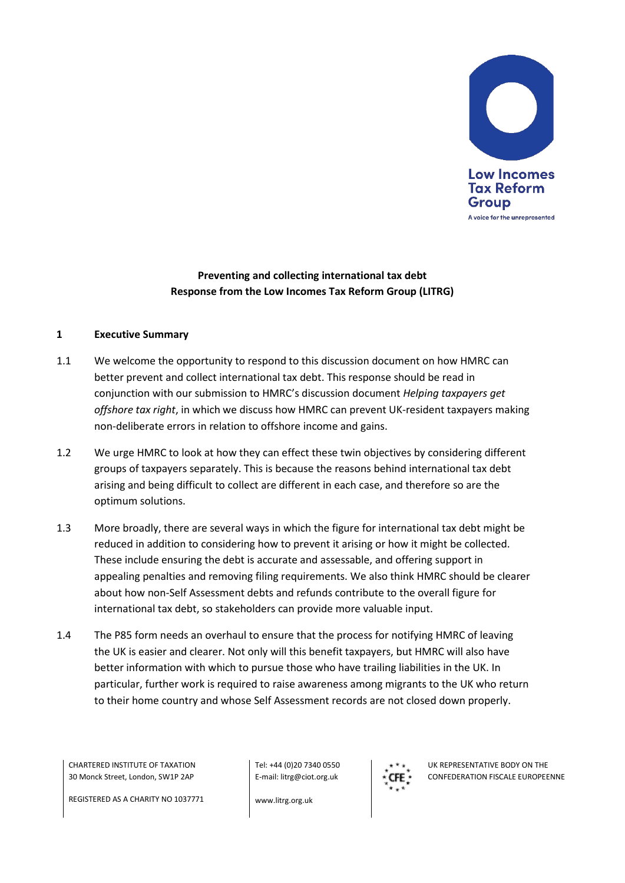

# **Preventing and collecting international tax debt Response from the Low Incomes Tax Reform Group (LITRG)**

### **1 Executive Summary**

- 1.1 We welcome the opportunity to respond to this discussion document on how HMRC can better prevent and collect international tax debt. This response should be read in conjunction with our submission to HMRC's discussion document *Helping taxpayers get offshore tax right*, in which we discuss how HMRC can prevent UK-resident taxpayers making non-deliberate errors in relation to offshore income and gains.
- 1.2 We urge HMRC to look at how they can effect these twin objectives by considering different groups of taxpayers separately. This is because the reasons behind international tax debt arising and being difficult to collect are different in each case, and therefore so are the optimum solutions.
- 1.3 More broadly, there are several ways in which the figure for international tax debt might be reduced in addition to considering how to prevent it arising or how it might be collected. These include ensuring the debt is accurate and assessable, and offering support in appealing penalties and removing filing requirements. We also think HMRC should be clearer about how non-Self Assessment debts and refunds contribute to the overall figure for international tax debt, so stakeholders can provide more valuable input.
- 1.4 The P85 form needs an overhaul to ensure that the process for notifying HMRC of leaving the UK is easier and clearer. Not only will this benefit taxpayers, but HMRC will also have better information with which to pursue those who have trailing liabilities in the UK. In particular, further work is required to raise awareness among migrants to the UK who return to their home country and whose Self Assessment records are not closed down properly.

CHARTERED INSTITUTE OF TAXATION 30 Monck Street, London, SW1P 2AP

Tel: +44 (0)20 7340 0550 E-mail: litrg@ciot.org.uk



UK REPRESENTATIVE BODY ON THE CONFEDERATION FISCALE EUROPEENNE

REGISTERED AS A CHARITY NO 1037771

www.litrg.org.uk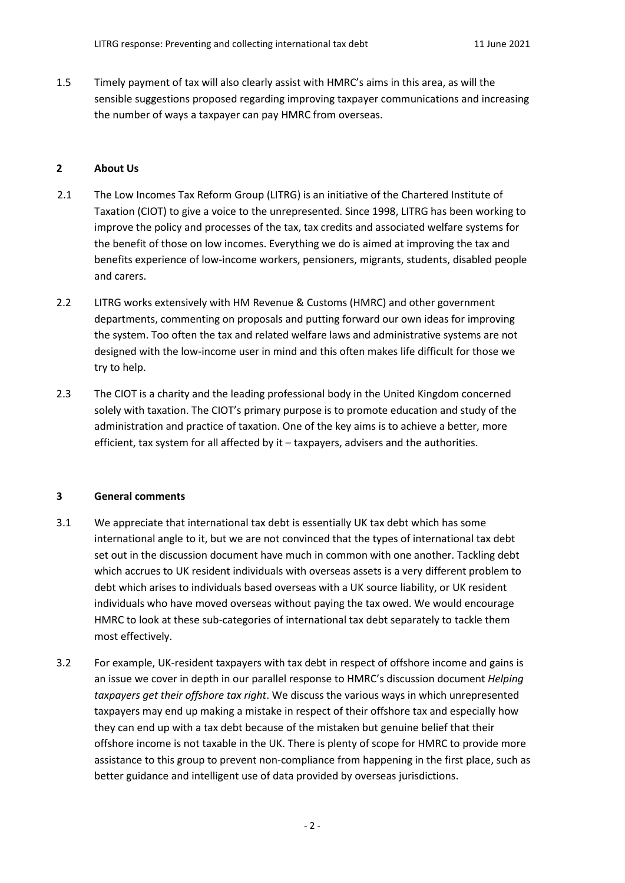1.5 Timely payment of tax will also clearly assist with HMRC's aims in this area, as will the sensible suggestions proposed regarding improving taxpayer communications and increasing the number of ways a taxpayer can pay HMRC from overseas.

## **2 About Us**

- 2.1 The Low Incomes Tax Reform Group (LITRG) is an initiative of the Chartered Institute of Taxation (CIOT) to give a voice to the unrepresented. Since 1998, LITRG has been working to improve the policy and processes of the tax, tax credits and associated welfare systems for the benefit of those on low incomes. Everything we do is aimed at improving the tax and benefits experience of low-income workers, pensioners, migrants, students, disabled people and carers.
- 2.2 LITRG works extensively with HM Revenue & Customs (HMRC) and other government departments, commenting on proposals and putting forward our own ideas for improving the system. Too often the tax and related welfare laws and administrative systems are not designed with the low-income user in mind and this often makes life difficult for those we try to help.
- 2.3 The CIOT is a charity and the leading professional body in the United Kingdom concerned solely with taxation. The CIOT's primary purpose is to promote education and study of the administration and practice of taxation. One of the key aims is to achieve a better, more efficient, tax system for all affected by it – taxpayers, advisers and the authorities.

### **3 General comments**

- 3.1 We appreciate that international tax debt is essentially UK tax debt which has some international angle to it, but we are not convinced that the types of international tax debt set out in the discussion document have much in common with one another. Tackling debt which accrues to UK resident individuals with overseas assets is a very different problem to debt which arises to individuals based overseas with a UK source liability, or UK resident individuals who have moved overseas without paying the tax owed. We would encourage HMRC to look at these sub-categories of international tax debt separately to tackle them most effectively.
- 3.2 For example, UK-resident taxpayers with tax debt in respect of offshore income and gains is an issue we cover in depth in our parallel response to HMRC's discussion document *Helping taxpayers get their offshore tax right*. We discuss the various ways in which unrepresented taxpayers may end up making a mistake in respect of their offshore tax and especially how they can end up with a tax debt because of the mistaken but genuine belief that their offshore income is not taxable in the UK. There is plenty of scope for HMRC to provide more assistance to this group to prevent non-compliance from happening in the first place, such as better guidance and intelligent use of data provided by overseas jurisdictions.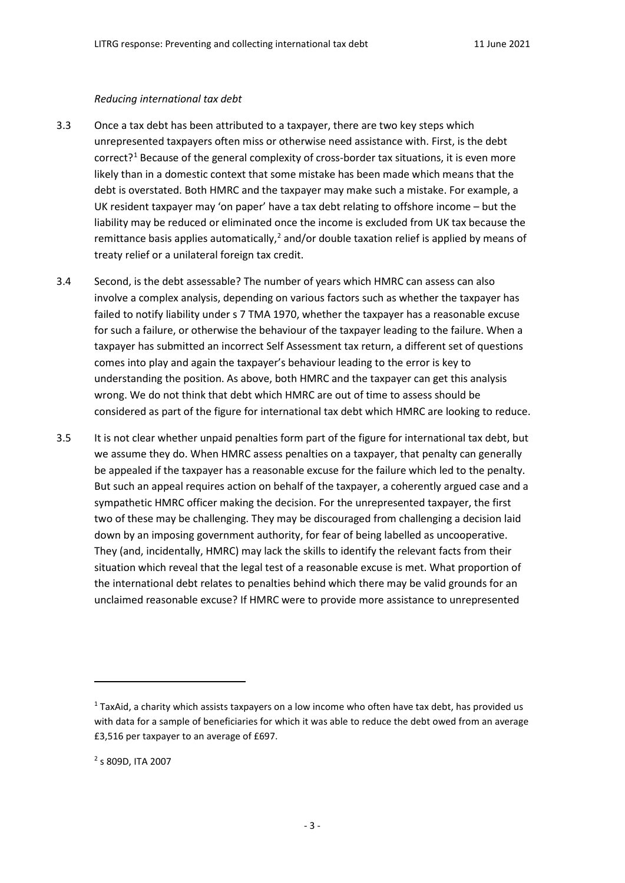#### *Reducing international tax debt*

- 3.3 Once a tax debt has been attributed to a taxpayer, there are two key steps which unrepresented taxpayers often miss or otherwise need assistance with. First, is the debt correct?<sup>1</sup> Because of the general complexity of cross-border tax situations, it is even more likely than in a domestic context that some mistake has been made which means that the debt is overstated. Both HMRC and the taxpayer may make such a mistake. For example, a UK resident taxpayer may 'on paper' have a tax debt relating to offshore income – but the liability may be reduced or eliminated once the income is excluded from UK tax because the remittance basis applies automatically, $^2$  $^2$  and/or double taxation relief is applied by means of treaty relief or a unilateral foreign tax credit.
- 3.4 Second, is the debt assessable? The number of years which HMRC can assess can also involve a complex analysis, depending on various factors such as whether the taxpayer has failed to notify liability under s 7 TMA 1970, whether the taxpayer has a reasonable excuse for such a failure, or otherwise the behaviour of the taxpayer leading to the failure. When a taxpayer has submitted an incorrect Self Assessment tax return, a different set of questions comes into play and again the taxpayer's behaviour leading to the error is key to understanding the position. As above, both HMRC and the taxpayer can get this analysis wrong. We do not think that debt which HMRC are out of time to assess should be considered as part of the figure for international tax debt which HMRC are looking to reduce.
- 3.5 It is not clear whether unpaid penalties form part of the figure for international tax debt, but we assume they do. When HMRC assess penalties on a taxpayer, that penalty can generally be appealed if the taxpayer has a reasonable excuse for the failure which led to the penalty. But such an appeal requires action on behalf of the taxpayer, a coherently argued case and a sympathetic HMRC officer making the decision. For the unrepresented taxpayer, the first two of these may be challenging. They may be discouraged from challenging a decision laid down by an imposing government authority, for fear of being labelled as uncooperative. They (and, incidentally, HMRC) may lack the skills to identify the relevant facts from their situation which reveal that the legal test of a reasonable excuse is met. What proportion of the international debt relates to penalties behind which there may be valid grounds for an unclaimed reasonable excuse? If HMRC were to provide more assistance to unrepresented

 $\overline{a}$ 

<span id="page-2-0"></span> $1$  TaxAid, a charity which assists taxpayers on a low income who often have tax debt, has provided us with data for a sample of beneficiaries for which it was able to reduce the debt owed from an average £3,516 per taxpayer to an average of £697.

<span id="page-2-1"></span><sup>2</sup> s 809D, ITA 2007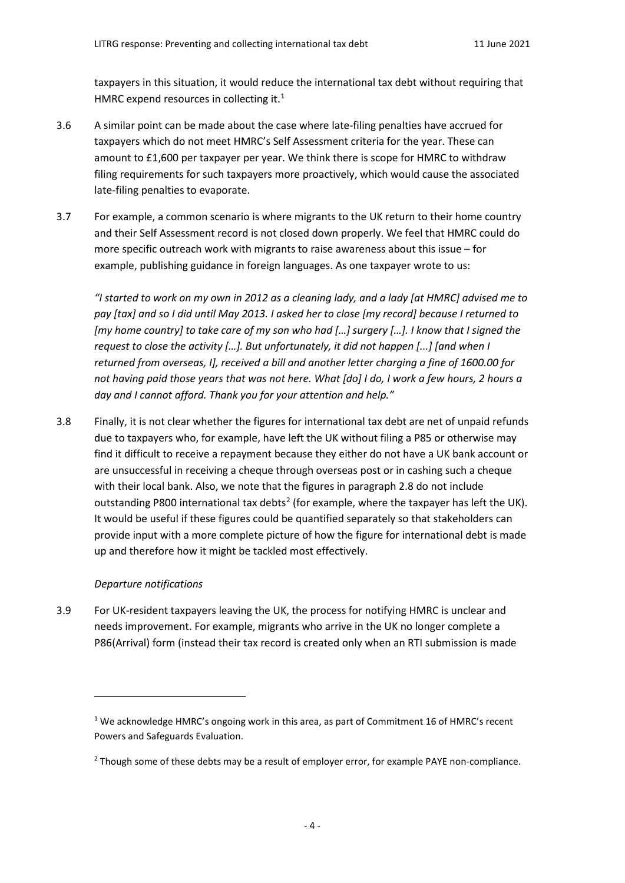taxpayers in this situation, it would reduce the international tax debt without requiring that HMRC expend resources in collecting it.<sup>1</sup>

- 3.6 A similar point can be made about the case where late-filing penalties have accrued for taxpayers which do not meet HMRC's Self Assessment criteria for the year. These can amount to £1,600 per taxpayer per year. We think there is scope for HMRC to withdraw filing requirements for such taxpayers more proactively, which would cause the associated late-filing penalties to evaporate.
- 3.7 For example, a common scenario is where migrants to the UK return to their home country and their Self Assessment record is not closed down properly. We feel that HMRC could do more specific outreach work with migrants to raise awareness about this issue – for example, publishing guidance in foreign languages. As one taxpayer wrote to us:

*"I started to work on my own in 2012 as a cleaning lady, and a lady [at HMRC] advised me to pay [tax] and so I did until May 2013. I asked her to close [my record] because I returned to [my home country] to take care of my son who had […] surgery […]. I know that I signed the request to close the activity […]. But unfortunately, it did not happen [...] [and when I returned from overseas, I], received a bill and another letter charging a fine of 1600.00 for not having paid those years that was not here. What [do] I do, I work a few hours, 2 hours a day and I cannot afford. Thank you for your attention and help."*

3.8 Finally, it is not clear whether the figures for international tax debt are net of unpaid refunds due to taxpayers who, for example, have left the UK without filing a P85 or otherwise may find it difficult to receive a repayment because they either do not have a UK bank account or are unsuccessful in receiving a cheque through overseas post or in cashing such a cheque with their local bank. Also, we note that the figures in paragraph 2.8 do not include outstanding P800 international tax debts<sup>[2](#page-3-1)</sup> (for example, where the taxpayer has left the UK). It would be useful if these figures could be quantified separately so that stakeholders can provide input with a more complete picture of how the figure for international debt is made up and therefore how it might be tackled most effectively.

# *Departure notifications*

l

3.9 For UK-resident taxpayers leaving the UK, the process for notifying HMRC is unclear and needs improvement. For example, migrants who arrive in the UK no longer complete a P86(Arrival) form (instead their tax record is created only when an RTI submission is made

<span id="page-3-0"></span><sup>&</sup>lt;sup>1</sup> We acknowledge HMRC's ongoing work in this area, as part of Commitment 16 of HMRC's recent Powers and Safeguards Evaluation.

<span id="page-3-1"></span><sup>&</sup>lt;sup>2</sup> Though some of these debts may be a result of employer error, for example PAYE non-compliance.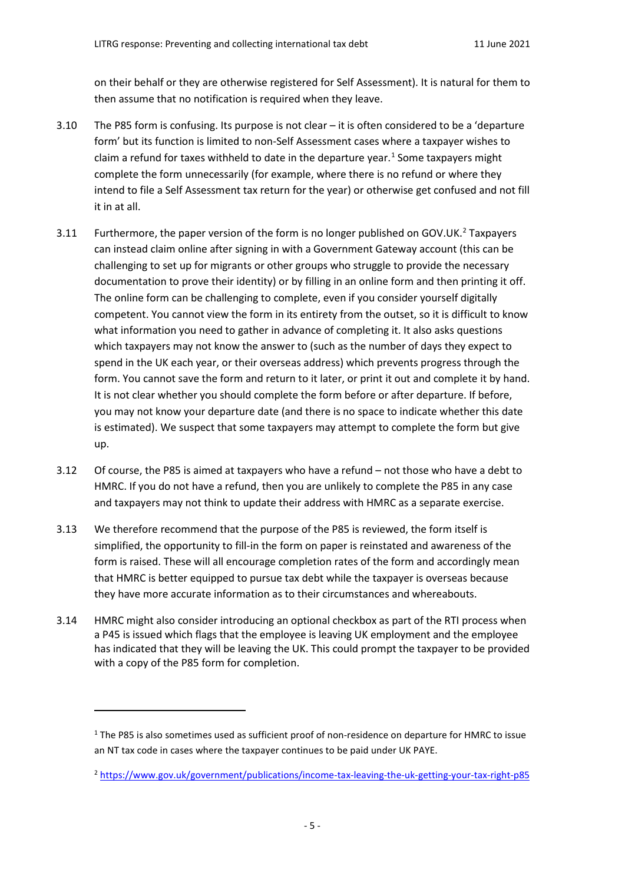on their behalf or they are otherwise registered for Self Assessment). It is natural for them to then assume that no notification is required when they leave.

- 3.10 The P85 form is confusing. Its purpose is not clear it is often considered to be a 'departure form' but its function is limited to non-Self Assessment cases where a taxpayer wishes to claim a refund for taxes withheld to date in the departure year.<sup>[1](#page-4-0)</sup> Some taxpayers might complete the form unnecessarily (for example, where there is no refund or where they intend to file a Self Assessment tax return for the year) or otherwise get confused and not fill it in at all.
- 3.11 Furthermore, the paper version of the form is no longer published on GOV.UK.<sup>[2](#page-4-1)</sup> Taxpayers can instead claim online after signing in with a Government Gateway account (this can be challenging to set up for migrants or other groups who struggle to provide the necessary documentation to prove their identity) or by filling in an online form and then printing it off. The online form can be challenging to complete, even if you consider yourself digitally competent. You cannot view the form in its entirety from the outset, so it is difficult to know what information you need to gather in advance of completing it. It also asks questions which taxpayers may not know the answer to (such as the number of days they expect to spend in the UK each year, or their overseas address) which prevents progress through the form. You cannot save the form and return to it later, or print it out and complete it by hand. It is not clear whether you should complete the form before or after departure. If before, you may not know your departure date (and there is no space to indicate whether this date is estimated). We suspect that some taxpayers may attempt to complete the form but give up.
- 3.12 Of course, the P85 is aimed at taxpayers who have a refund not those who have a debt to HMRC. If you do not have a refund, then you are unlikely to complete the P85 in any case and taxpayers may not think to update their address with HMRC as a separate exercise.
- 3.13 We therefore recommend that the purpose of the P85 is reviewed, the form itself is simplified, the opportunity to fill-in the form on paper is reinstated and awareness of the form is raised. These will all encourage completion rates of the form and accordingly mean that HMRC is better equipped to pursue tax debt while the taxpayer is overseas because they have more accurate information as to their circumstances and whereabouts.
- 3.14 HMRC might also consider introducing an optional checkbox as part of the RTI process when a P45 is issued which flags that the employee is leaving UK employment and the employee has indicated that they will be leaving the UK. This could prompt the taxpayer to be provided with a copy of the P85 form for completion.

 $\overline{a}$ 

<span id="page-4-0"></span> $1$  The P85 is also sometimes used as sufficient proof of non-residence on departure for HMRC to issue an NT tax code in cases where the taxpayer continues to be paid under UK PAYE.

<span id="page-4-1"></span><sup>2</sup> <https://www.gov.uk/government/publications/income-tax-leaving-the-uk-getting-your-tax-right-p85>